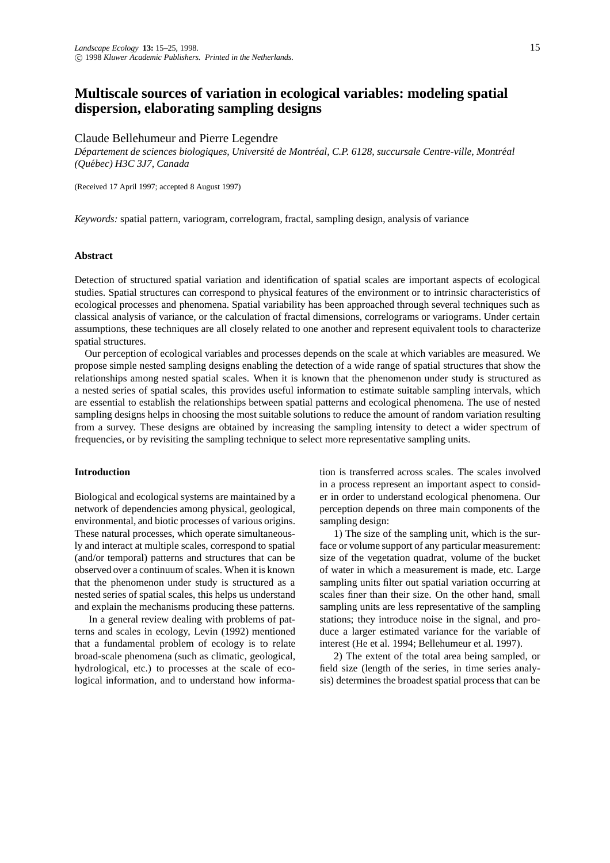# **Multiscale sources of variation in ecological variables: modeling spatial dispersion, elaborating sampling designs**

# Claude Bellehumeur and Pierre Legendre

*Departement de sciences biologiques, Universit ´ e de Montr ´ eal, C.P. 6128, succursale Centre-ville, Montr ´ eal ´ (Quebec) H3C 3J7, Canada ´*

(Received 17 April 1997; accepted 8 August 1997)

*Keywords:* spatial pattern, variogram, correlogram, fractal, sampling design, analysis of variance

### **Abstract**

Detection of structured spatial variation and identification of spatial scales are important aspects of ecological studies. Spatial structures can correspond to physical features of the environment or to intrinsic characteristics of ecological processes and phenomena. Spatial variability has been approached through several techniques such as classical analysis of variance, or the calculation of fractal dimensions, correlograms or variograms. Under certain assumptions, these techniques are all closely related to one another and represent equivalent tools to characterize spatial structures.

Our perception of ecological variables and processes depends on the scale at which variables are measured. We propose simple nested sampling designs enabling the detection of a wide range of spatial structures that show the relationships among nested spatial scales. When it is known that the phenomenon under study is structured as a nested series of spatial scales, this provides useful information to estimate suitable sampling intervals, which are essential to establish the relationships between spatial patterns and ecological phenomena. The use of nested sampling designs helps in choosing the most suitable solutions to reduce the amount of random variation resulting from a survey. These designs are obtained by increasing the sampling intensity to detect a wider spectrum of frequencies, or by revisiting the sampling technique to select more representative sampling units.

#### **Introduction**

Biological and ecological systems are maintained by a network of dependencies among physical, geological, environmental, and biotic processes of various origins. These natural processes, which operate simultaneously and interact at multiple scales, correspond to spatial (and/or temporal) patterns and structures that can be observed over a continuum of scales. When it is known that the phenomenon under study is structured as a nested series of spatial scales, this helps us understand and explain the mechanisms producing these patterns.

In a general review dealing with problems of patterns and scales in ecology, Levin (1992) mentioned that a fundamental problem of ecology is to relate broad-scale phenomena (such as climatic, geological, hydrological, etc.) to processes at the scale of ecological information, and to understand how information is transferred across scales. The scales involved in a process represent an important aspect to consider in order to understand ecological phenomena. Our perception depends on three main components of the sampling design:

1) The size of the sampling unit, which is the surface or volume support of any particular measurement: size of the vegetation quadrat, volume of the bucket of water in which a measurement is made, etc. Large sampling units filter out spatial variation occurring at scales finer than their size. On the other hand, small sampling units are less representative of the sampling stations; they introduce noise in the signal, and produce a larger estimated variance for the variable of interest (He et al. 1994; Bellehumeur et al. 1997).

2) The extent of the total area being sampled, or field size (length of the series, in time series analysis) determines the broadest spatial process that can be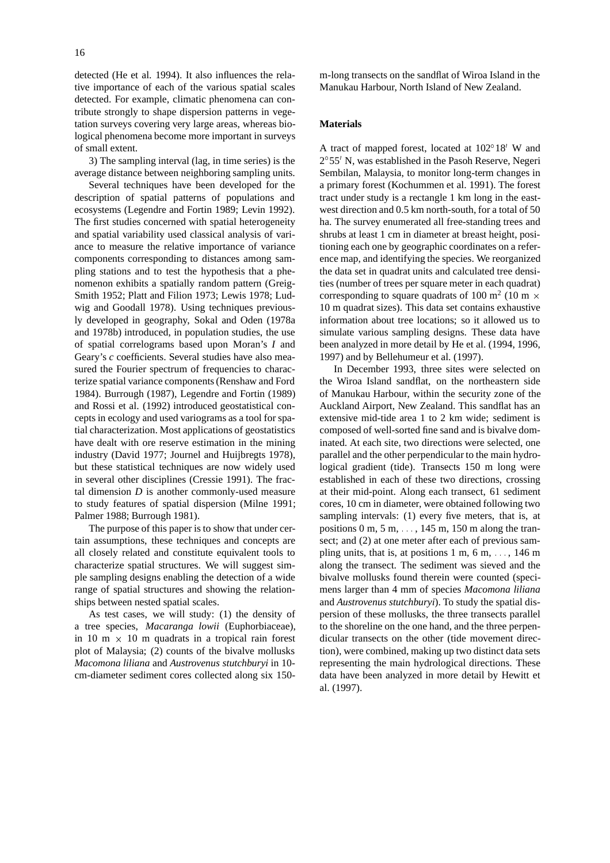detected (He et al. 1994). It also influences the relative importance of each of the various spatial scales detected. For example, climatic phenomena can contribute strongly to shape dispersion patterns in vegetation surveys covering very large areas, whereas biological phenomena become more important in surveys of small extent.

3) The sampling interval (lag, in time series) is the average distance between neighboring sampling units.

Several techniques have been developed for the description of spatial patterns of populations and ecosystems (Legendre and Fortin 1989; Levin 1992). The first studies concerned with spatial heterogeneity and spatial variability used classical analysis of variance to measure the relative importance of variance components corresponding to distances among sampling stations and to test the hypothesis that a phenomenon exhibits a spatially random pattern (Greig-Smith 1952; Platt and Filion 1973; Lewis 1978; Ludwig and Goodall 1978). Using techniques previously developed in geography, Sokal and Oden (1978a and 1978b) introduced, in population studies, the use of spatial correlograms based upon Moran's *I* and Geary's *c* coefficients. Several studies have also measured the Fourier spectrum of frequencies to characterize spatial variance components (Renshaw and Ford 1984). Burrough (1987), Legendre and Fortin (1989) and Rossi et al. (1992) introduced geostatistical concepts in ecology and used variograms as a tool for spatial characterization. Most applications of geostatistics have dealt with ore reserve estimation in the mining industry (David 1977; Journel and Huijbregts 1978), but these statistical techniques are now widely used in several other disciplines (Cressie 1991). The fractal dimension *D* is another commonly-used measure to study features of spatial dispersion (Milne 1991; Palmer 1988; Burrough 1981).

The purpose of this paper is to show that under certain assumptions, these techniques and concepts are all closely related and constitute equivalent tools to characterize spatial structures. We will suggest simple sampling designs enabling the detection of a wide range of spatial structures and showing the relationships between nested spatial scales.

As test cases, we will study: (1) the density of a tree species, *Macaranga lowii* (Euphorbiaceae), in 10 m  $\times$  10 m quadrats in a tropical rain forest plot of Malaysia; (2) counts of the bivalve mollusks *Macomona liliana* and *Austrovenus stutchburyi* in 10 cm-diameter sediment cores collected along six 150m-long transects on the sandflat of Wiroa Island in the Manukau Harbour, North Island of New Zealand.

### **Materials**

A tract of mapped forest, located at  $102^{\circ}18'$  W and 2°55' N, was established in the Pasoh Reserve, Negeri Sembilan, Malaysia, to monitor long-term changes in a primary forest (Kochummen et al. 1991). The forest tract under study is a rectangle 1 km long in the eastwest direction and 0.5 km north-south, for a total of 50 ha. The survey enumerated all free-standing trees and shrubs at least 1 cm in diameter at breast height, positioning each one by geographic coordinates on a reference map, and identifying the species. We reorganized the data set in quadrat units and calculated tree densities (number of trees per square meter in each quadrat) corresponding to square quadrats of 100 m<sup>2</sup> (10 m  $\times$ 10 m quadrat sizes). This data set contains exhaustive information about tree locations; so it allowed us to simulate various sampling designs. These data have been analyzed in more detail by He et al. (1994, 1996, 1997) and by Bellehumeur et al. (1997).

In December 1993, three sites were selected on the Wiroa Island sandflat, on the northeastern side of Manukau Harbour, within the security zone of the Auckland Airport, New Zealand. This sandflat has an extensive mid-tide area 1 to 2 km wide; sediment is composed of well-sorted fine sand and is bivalve dominated. At each site, two directions were selected, one parallel and the other perpendicular to the main hydrological gradient (tide). Transects 150 m long were established in each of these two directions, crossing at their mid-point. Along each transect, 61 sediment cores, 10 cm in diameter, were obtained following two sampling intervals: (1) every five meters, that is, at positions  $0 \text{ m}, 5 \text{ m}, \ldots, 145 \text{ m}, 150 \text{ m}$  along the transect; and  $(2)$  at one meter after each of previous sampling units, that is, at positions  $1 \text{ m}$ ,  $6 \text{ m}$ ,  $\ldots$ ,  $146 \text{ m}$ along the transect. The sediment was sieved and the bivalve mollusks found therein were counted (specimens larger than 4 mm of species *Macomona liliana* and *Austrovenus stutchburyi*). To study the spatial dispersion of these mollusks, the three transects parallel to the shoreline on the one hand, and the three perpendicular transects on the other (tide movement direction), were combined, making up two distinct data sets representing the main hydrological directions. These data have been analyzed in more detail by Hewitt et al. (1997).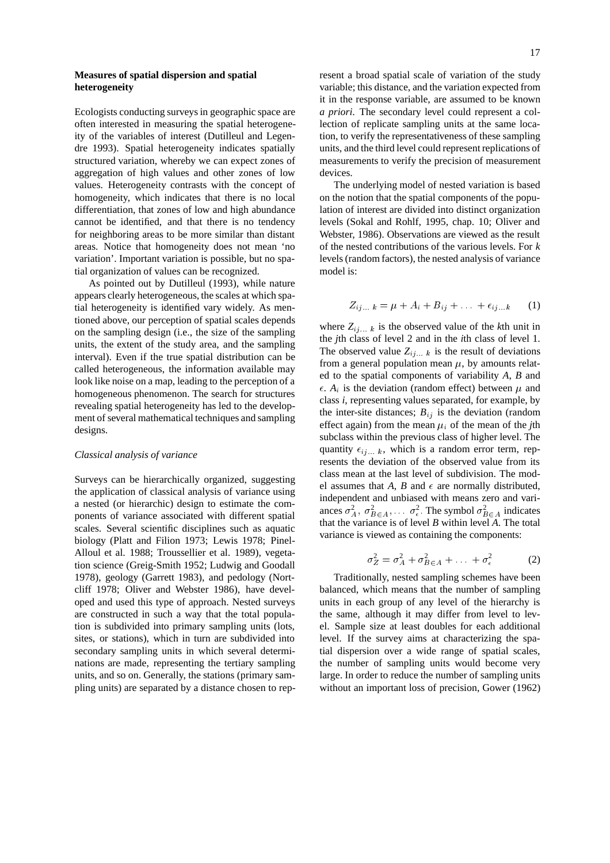# **Measures of spatial dispersion and spatial heterogeneity**

Ecologists conducting surveys in geographic space are often interested in measuring the spatial heterogeneity of the variables of interest (Dutilleul and Legendre 1993). Spatial heterogeneity indicates spatially structured variation, whereby we can expect zones of aggregation of high values and other zones of low values. Heterogeneity contrasts with the concept of homogeneity, which indicates that there is no local differentiation, that zones of low and high abundance cannot be identified, and that there is no tendency for neighboring areas to be more similar than distant areas. Notice that homogeneity does not mean 'no variation'. Important variation is possible, but no spatial organization of values can be recognized.

As pointed out by Dutilleul (1993), while nature appears clearly heterogeneous, the scales at which spatial heterogeneity is identified vary widely. As mentioned above, our perception of spatial scales depends on the sampling design (i.e., the size of the sampling units, the extent of the study area, and the sampling interval). Even if the true spatial distribution can be called heterogeneous, the information available may look like noise on a map, leading to the perception of a homogeneous phenomenon. The search for structures revealing spatial heterogeneity has led to the development of several mathematical techniques and sampling designs.

## *Classical analysis of variance*

Surveys can be hierarchically organized, suggesting the application of classical analysis of variance using a nested (or hierarchic) design to estimate the components of variance associated with different spatial scales. Several scientific disciplines such as aquatic biology (Platt and Filion 1973; Lewis 1978; Pinel-Alloul et al. 1988; Troussellier et al. 1989), vegetation science (Greig-Smith 1952; Ludwig and Goodall 1978), geology (Garrett 1983), and pedology (Nortcliff 1978; Oliver and Webster 1986), have developed and used this type of approach. Nested surveys are constructed in such a way that the total population is subdivided into primary sampling units (lots, sites, or stations), which in turn are subdivided into secondary sampling units in which several determinations are made, representing the tertiary sampling units, and so on. Generally, the stations (primary sampling units) are separated by a distance chosen to represent a broad spatial scale of variation of the study variable; this distance, and the variation expected from it in the response variable, are assumed to be known *a priori*. The secondary level could represent a collection of replicate sampling units at the same location, to verify the representativeness of these sampling units, and the third level could represent replications of measurements to verify the precision of measurement devices.

The underlying model of nested variation is based on the notion that the spatial components of the population of interest are divided into distinct organization levels (Sokal and Rohlf, 1995, chap. 10; Oliver and Webster, 1986). Observations are viewed as the result of the nested contributions of the various levels. For *k* levels (random factors), the nested analysis of variance model is:

$$
Z_{ij...k} = \mu + A_i + B_{ij} + \dots + \epsilon_{ij...k} \tag{1}
$$

where  $Z_{ij...k}$  is the observed value of the *k*th unit in the *j*th class of level 2 and in the *i*th class of level 1. The observed value  $Z_{ij...k}$  is the result of deviations from a general population mean  $\mu$ , by amounts related to the spatial components of variability *A*, *B* and  $\epsilon$ .  $A_i$  is the deviation (random effect) between  $\mu$  and class *i*, representing values separated, for example, by the inter-site distances;  $B_{ij}$  is the deviation (random effect again) from the mean  $\mu_i$  of the mean of the *j*th subclass within the previous class of higher level. The quantity  $\epsilon_{ij...k}$ , which is a random error term, represents the deviation of the observed value from its class mean at the last level of subdivision. The model assumes that *A*, *B* and  $\epsilon$  are normally distributed, independent and unbiased with means zero and variances  $\sigma_A^2$ ,  $\sigma_{B \in A}^2$ ,  $\ldots$   $\sigma_{\epsilon}^2$ . The symbol  $\sigma_{B \in A}^2$  indicates that the variance is of level *B* within level *A*. The total variance is viewed as containing the components:

$$
\sigma_Z^2 = \sigma_A^2 + \sigma_{B \in A}^2 + \dots + \sigma_{\epsilon}^2 \tag{2}
$$

Traditionally, nested sampling schemes have been balanced, which means that the number of sampling units in each group of any level of the hierarchy is the same, although it may differ from level to level. Sample size at least doubles for each additional level. If the survey aims at characterizing the spatial dispersion over a wide range of spatial scales, the number of sampling units would become very large. In order to reduce the number of sampling units without an important loss of precision, Gower (1962)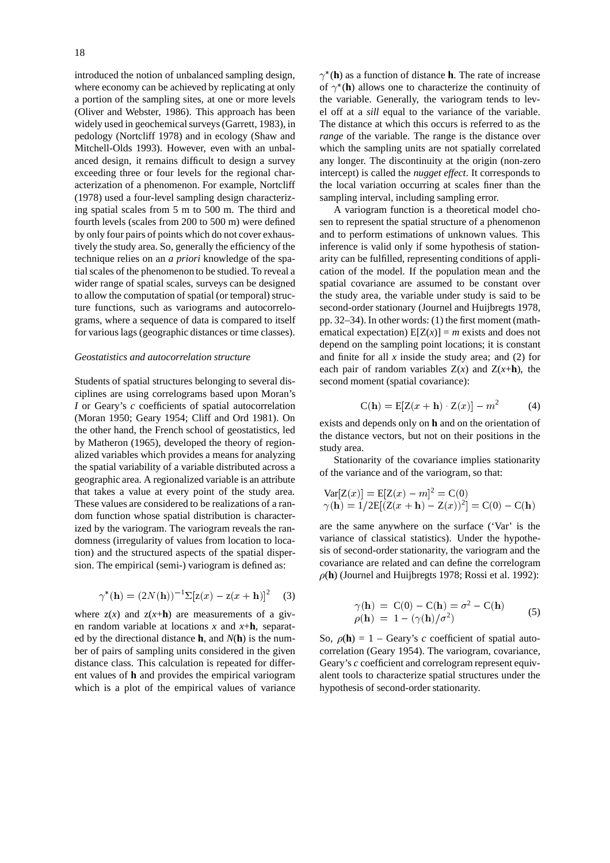introduced the notion of unbalanced sampling design, where economy can be achieved by replicating at only a portion of the sampling sites, at one or more levels (Oliver and Webster, 1986). This approach has been widely used in geochemical surveys (Garrett, 1983), in pedology (Nortcliff 1978) and in ecology (Shaw and Mitchell-Olds 1993). However, even with an unbalanced design, it remains difficult to design a survey exceeding three or four levels for the regional characterization of a phenomenon. For example, Nortcliff (1978) used a four-level sampling design characterizing spatial scales from 5 m to 500 m. The third and fourth levels (scales from 200 to 500 m) were defined by only four pairs of points which do not cover exhaustively the study area. So, generally the efficiency of the technique relies on an *a priori* knowledge of the spatial scales of the phenomenon to be studied. To reveal a wider range of spatial scales, surveys can be designed to allow the computation of spatial (or temporal) structure functions, such as variograms and autocorrelograms, where a sequence of data is compared to itself for various lags (geographic distances or time classes).

### *Geostatistics and autocorrelation structure*

Students of spatial structures belonging to several disciplines are using correlograms based upon Moran's *I* or Geary's *c* coefficients of spatial autocorrelation (Moran 1950; Geary 1954; Cliff and Ord 1981). On the other hand, the French school of geostatistics, led by Matheron (1965), developed the theory of regionalized variables which provides a means for analyzing the spatial variability of a variable distributed across a geographic area. A regionalized variable is an attribute that takes a value at every point of the study area. These values are considered to be realizations of a random function whose spatial distribution is characterized by the variogram. The variogram reveals the randomness (irregularity of values from location to location) and the structured aspects of the spatial dispersion. The empirical (semi-) variogram is defined as:

$$
\gamma^*(\mathbf{h}) = (2N(\mathbf{h}))^{-1} \Sigma [z(x) - z(x + \mathbf{h})]^2 \quad (3)
$$

where  $z(x)$  and  $z(x+h)$  are measurements of a given random variable at locations *x* and *x*+**h**, separated by the directional distance **h**, and *N*(**h**) is the number of pairs of sampling units considered in the given distance class. This calculation is repeated for different values of **h** and provides the empirical variogram which is a plot of the empirical values of variance

 $\gamma^*(h)$  as a function of distance **h**. The rate of increase of  $\gamma^*(h)$  allows one to characterize the continuity of the variable. Generally, the variogram tends to level off at a *sill* equal to the variance of the variable. The distance at which this occurs is referred to as the *range* of the variable. The range is the distance over which the sampling units are not spatially correlated any longer. The discontinuity at the origin (non-zero intercept) is called the *nugget effect*. It corresponds to the local variation occurring at scales finer than the sampling interval, including sampling error.

A variogram function is a theoretical model chosen to represent the spatial structure of a phenomenon and to perform estimations of unknown values. This inference is valid only if some hypothesis of stationarity can be fulfilled, representing conditions of application of the model. If the population mean and the spatial covariance are assumed to be constant over the study area, the variable under study is said to be second-order stationary (Journel and Huijbregts 1978, pp. 32–34). In other words: (1) the first moment (mathematical expectation)  $E[Z(x)] = m$  exists and does not depend on the sampling point locations; it is constant and finite for all  $x$  inside the study area; and  $(2)$  for each pair of random variables  $Z(x)$  and  $Z(x+h)$ , the second moment (spatial covariance):

$$
C(\mathbf{h}) = E[Z(x + \mathbf{h}) \cdot Z(x)] - m^2 \tag{4}
$$

exists and depends only on **h** and on the orientation of the distance vectors, but not on their positions in the study area.

Stationarity of the covariance implies stationarity of the variance and of the variogram, so that:

$$
Var[Z(x)] = E[Z(x) - m]^2 = C(0)
$$
  
\n
$$
\gamma(h) = 1/2E[(Z(x+h) - Z(x))^2] = C(0) - C(h)
$$

are the same anywhere on the surface ('Var' is the variance of classical statistics). Under the hypothesis of second-order stationarity, the variogram and the covariance are related and can define the correlogram  $\rho$ (**h**) (Journel and Huijbregts 1978; Rossi et al. 1992):

$$
\gamma(\mathbf{h}) = \mathbf{C}(0) - \mathbf{C}(\mathbf{h}) = \sigma^2 - \mathbf{C}(\mathbf{h})
$$
  
\n
$$
\rho(\mathbf{h}) = 1 - (\gamma(\mathbf{h})/\sigma^2)
$$
\n(5)

So,  $\rho(\mathbf{h}) = 1$  – Geary's *c* coefficient of spatial autocorrelation (Geary 1954). The variogram, covariance, Geary's *c* coefficient and correlogram represent equivalent tools to characterize spatial structures under the hypothesis of second-order stationarity.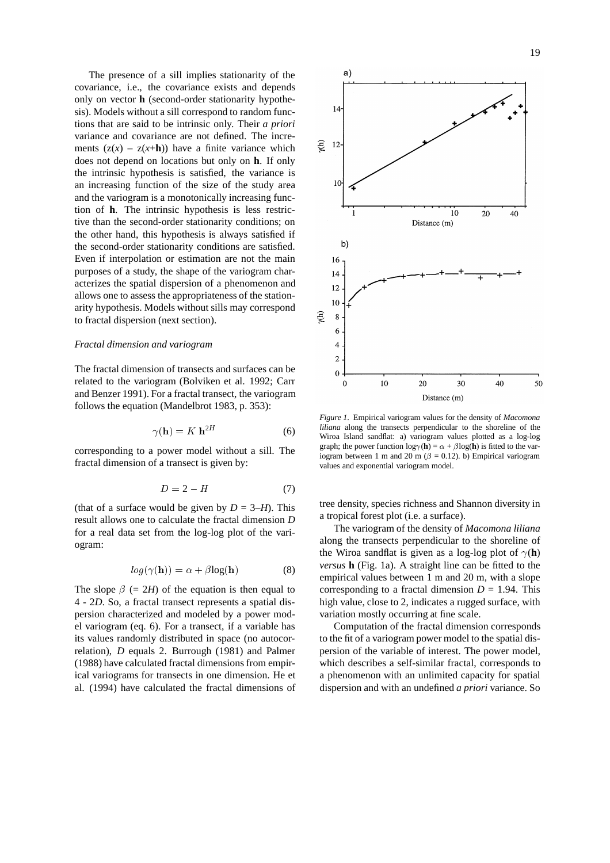The presence of a sill implies stationarity of the covariance, i.e., the covariance exists and depends only on vector **h** (second-order stationarity hypothesis). Models without a sill correspond to random functions that are said to be intrinsic only. Their *a priori* variance and covariance are not defined. The increments  $(z(x) - z(x+h))$  have a finite variance which does not depend on locations but only on **h**. If only the intrinsic hypothesis is satisfied, the variance is an increasing function of the size of the study area and the variogram is a monotonically increasing function of **h**. The intrinsic hypothesis is less restrictive than the second-order stationarity conditions; on the other hand, this hypothesis is always satisfied if the second-order stationarity conditions are satisfied. Even if interpolation or estimation are not the main purposes of a study, the shape of the variogram characterizes the spatial dispersion of a phenomenon and allows one to assess the appropriateness of the stationarity hypothesis. Models without sills may correspond to fractal dispersion (next section).

### *Fractal dimension and variogram*

The fractal dimension of transects and surfaces can be related to the variogram (Bolviken et al. 1992; Carr and Benzer 1991). For a fractal transect, the variogram follows the equation (Mandelbrot 1983, p. 353):

$$
\gamma(\mathbf{h}) = K \; \mathbf{h}^{2H} \tag{6}
$$

corresponding to a power model without a sill. The fractal dimension of a transect is given by:

$$
D = 2 - H \tag{7}
$$

(that of a surface would be given by  $D = 3-H$ ). This result allows one to calculate the fractal dimension *D* for a real data set from the log-log plot of the variogram:

$$
log(\gamma(\mathbf{h})) = \alpha + \beta \log(\mathbf{h}) \tag{8}
$$

The slope  $\beta$  (= 2*H*) of the equation is then equal to 4-2*D*. So, a fractal transect represents a spatial dispersion characterized and modeled by a power model variogram (eq. 6). For a transect, if a variable has its values randomly distributed in space (no autocorrelation), *D* equals 2. Burrough (1981) and Palmer (1988) have calculated fractal dimensions from empirical variograms for transects in one dimension. He et al. (1994) have calculated the fractal dimensions of



*Figure 1*. Empirical variogram values for the density of *Macomona liliana* along the transects perpendicular to the shoreline of the Wiroa Island sandflat: a) variogram values plotted as a log-log graph; the power function  $\log \gamma(\mathbf{h}) = \alpha + \beta \log(\mathbf{h})$  is fitted to the variogram between 1 m and 20 m ( $\beta$  = 0.12). b) Empirical variogram values and exponential variogram model.

tree density, species richness and Shannon diversity in a tropical forest plot (i.e. a surface).

The variogram of the density of *Macomona liliana* along the transects perpendicular to the shoreline of the Wiroa sandflat is given as a log-log plot of  $\gamma$ (**h**) *versus* **h** (Fig. 1a). A straight line can be fitted to the empirical values between 1 m and 20 m, with a slope corresponding to a fractal dimension  $D = 1.94$ . This high value, close to 2, indicates a rugged surface, with variation mostly occurring at fine scale.

Computation of the fractal dimension corresponds to the fit of a variogram power model to the spatial dispersion of the variable of interest. The power model, which describes a self-similar fractal, corresponds to a phenomenon with an unlimited capacity for spatial dispersion and with an undefined *a priori* variance. So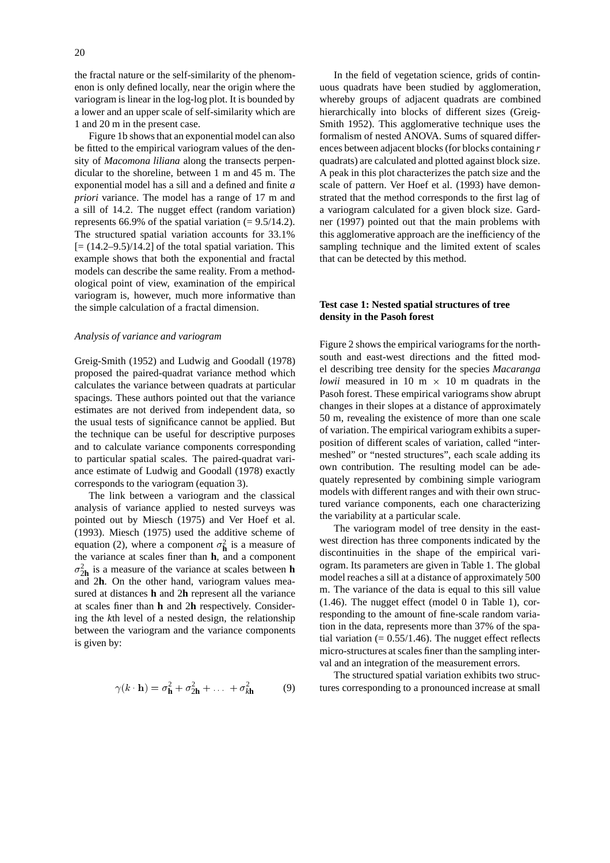the fractal nature or the self-similarity of the phenomenon is only defined locally, near the origin where the variogram is linear in the log-log plot. It is bounded by a lower and an upper scale of self-similarity which are 1 and 20 m in the present case.

Figure 1b shows that an exponential model can also be fitted to the empirical variogram values of the density of *Macomona liliana* along the transects perpendicular to the shoreline, between 1 m and 45 m. The exponential model has a sill and a defined and finite *a priori* variance. The model has a range of 17 m and a sill of 14.2. The nugget effect (random variation) represents 66.9% of the spatial variation  $(= 9.5/14.2)$ . The structured spatial variation accounts for 33.1%  $[=(14.2-9.5)/14.2]$  of the total spatial variation. This example shows that both the exponential and fractal models can describe the same reality. From a methodological point of view, examination of the empirical variogram is, however, much more informative than the simple calculation of a fractal dimension.

#### *Analysis of variance and variogram*

Greig-Smith (1952) and Ludwig and Goodall (1978) proposed the paired-quadrat variance method which calculates the variance between quadrats at particular spacings. These authors pointed out that the variance estimates are not derived from independent data, so the usual tests of significance cannot be applied. But the technique can be useful for descriptive purposes and to calculate variance components corresponding to particular spatial scales. The paired-quadrat variance estimate of Ludwig and Goodall (1978) exactly corresponds to the variogram (equation 3).

The link between a variogram and the classical analysis of variance applied to nested surveys was pointed out by Miesch (1975) and Ver Hoef et al. (1993). Miesch (1975) used the additive scheme of equation (2), where a component  $\sigma_{\mathbf{h}}^2$  is a measure of the variance at scales finer than **h**, and a component  $\sigma_{2h}^2$  is a measure of the variance at scales between **h** and 2**h**. On the other hand, variogram values measured at distances **h** and 2**h** represent all the variance at scales finer than **h** and 2**h** respectively. Considering the *k*th level of a nested design, the relationship between the variogram and the variance components is given by:

$$
\gamma(k \cdot \mathbf{h}) = \sigma_{\mathbf{h}}^2 + \sigma_{2\mathbf{h}}^2 + \dots + \sigma_{k\mathbf{h}}^2 \tag{9}
$$

In the field of vegetation science, grids of continuous quadrats have been studied by agglomeration, whereby groups of adjacent quadrats are combined hierarchically into blocks of different sizes (Greig-Smith 1952). This agglomerative technique uses the formalism of nested ANOVA. Sums of squared differences between adjacent blocks (for blocks containing *r* quadrats) are calculated and plotted against block size. A peak in this plot characterizes the patch size and the scale of pattern. Ver Hoef et al. (1993) have demonstrated that the method corresponds to the first lag of a variogram calculated for a given block size. Gardner (1997) pointed out that the main problems with this agglomerative approach are the inefficiency of the sampling technique and the limited extent of scales that can be detected by this method.

# **Test case 1: Nested spatial structures of tree density in the Pasoh forest**

Figure 2 shows the empirical variograms for the northsouth and east-west directions and the fitted model describing tree density for the species *Macaranga lowii* measured in 10 m  $\times$  10 m quadrats in the Pasoh forest. These empirical variograms show abrupt changes in their slopes at a distance of approximately 50 m, revealing the existence of more than one scale of variation. The empirical variogram exhibits a superposition of different scales of variation, called "intermeshed" or "nested structures", each scale adding its own contribution. The resulting model can be adequately represented by combining simple variogram models with different ranges and with their own structured variance components, each one characterizing the variability at a particular scale.

The variogram model of tree density in the eastwest direction has three components indicated by the discontinuities in the shape of the empirical variogram. Its parameters are given in Table 1. The global model reaches a sill at a distance of approximately 500 m. The variance of the data is equal to this sill value (1.46). The nugget effect (model 0 in Table 1), corresponding to the amount of fine-scale random variation in the data, represents more than 37% of the spatial variation  $(= 0.55/1.46)$ . The nugget effect reflects micro-structures at scales finer than the sampling interval and an integration of the measurement errors.

The structured spatial variation exhibits two structures corresponding to a pronounced increase at small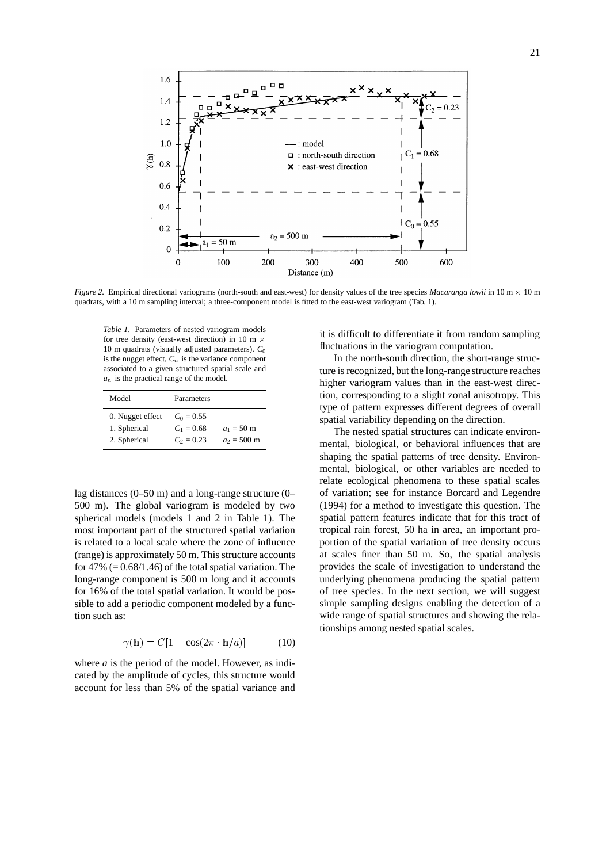

*Figure 2.* Empirical directional variograms (north-south and east-west) for density values of the tree species *Macaranga lowii* in 10 m  $\times$  10 m quadrats, with a 10 m sampling interval; a three-component model is fitted to the east-west variogram (Tab. 1).

*Table 1*. Parameters of nested variogram models for tree density (east-west direction) in 10 m  $\times$ 10 m quadrats (visually adjusted parameters). *C*<sup>0</sup> is the nugget effect,  $C_n$  is the variance component associated to a given structured spatial scale and *a*<sup>n</sup> is the practical range of the model.

| Model                                            | Parameters                                   |                                               |
|--------------------------------------------------|----------------------------------------------|-----------------------------------------------|
| 0. Nugget effect<br>1. Spherical<br>2. Spherical | $C_0 = 0.55$<br>$C_1 = 0.68$<br>$C_2 = 0.23$ | $a_1 = 50 \text{ m}$<br>$a_2 = 500 \text{ m}$ |

lag distances (0–50 m) and a long-range structure (0– 500 m). The global variogram is modeled by two spherical models (models 1 and 2 in Table 1). The most important part of the structured spatial variation is related to a local scale where the zone of influence (range) is approximately 50 m. This structure accounts for 47%  $(= 0.68/1.46)$  of the total spatial variation. The long-range component is 500 m long and it accounts for 16% of the total spatial variation. It would be possible to add a periodic component modeled by a function such as:

$$
\gamma(\mathbf{h}) = C[1 - \cos(2\pi \cdot \mathbf{h}/a)] \quad (10)
$$

where *a* is the period of the model. However, as indicated by the amplitude of cycles, this structure would account for less than 5% of the spatial variance and it is difficult to differentiate it from random sampling fluctuations in the variogram computation.

In the north-south direction, the short-range structure is recognized, but the long-range structure reaches higher variogram values than in the east-west direction, corresponding to a slight zonal anisotropy. This type of pattern expresses different degrees of overall spatial variability depending on the direction.

The nested spatial structures can indicate environmental, biological, or behavioral influences that are shaping the spatial patterns of tree density. Environmental, biological, or other variables are needed to relate ecological phenomena to these spatial scales of variation; see for instance Borcard and Legendre (1994) for a method to investigate this question. The spatial pattern features indicate that for this tract of tropical rain forest, 50 ha in area, an important proportion of the spatial variation of tree density occurs at scales finer than 50 m. So, the spatial analysis provides the scale of investigation to understand the underlying phenomena producing the spatial pattern of tree species. In the next section, we will suggest simple sampling designs enabling the detection of a wide range of spatial structures and showing the relationships among nested spatial scales.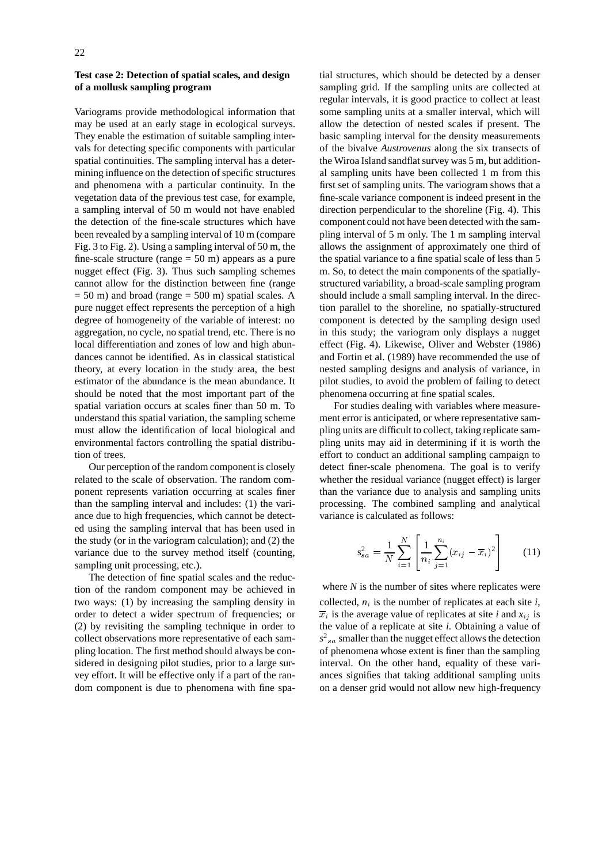# **Test case 2: Detection of spatial scales, and design of a mollusk sampling program**

Variograms provide methodological information that may be used at an early stage in ecological surveys. They enable the estimation of suitable sampling intervals for detecting specific components with particular spatial continuities. The sampling interval has a determining influence on the detection of specific structures and phenomena with a particular continuity. In the vegetation data of the previous test case, for example, a sampling interval of 50 m would not have enabled the detection of the fine-scale structures which have been revealed by a sampling interval of 10 m (compare Fig. 3 to Fig. 2). Using a sampling interval of 50 m, the fine-scale structure (range  $= 50$  m) appears as a pure nugget effect (Fig. 3). Thus such sampling schemes cannot allow for the distinction between fine (range  $= 50$  m) and broad (range  $= 500$  m) spatial scales. A pure nugget effect represents the perception of a high degree of homogeneity of the variable of interest: no aggregation, no cycle, no spatial trend, etc. There is no local differentiation and zones of low and high abundances cannot be identified. As in classical statistical theory, at every location in the study area, the best estimator of the abundance is the mean abundance. It should be noted that the most important part of the spatial variation occurs at scales finer than 50 m. To understand this spatial variation, the sampling scheme must allow the identification of local biological and environmental factors controlling the spatial distribution of trees.

Our perception of the random component is closely related to the scale of observation. The random component represents variation occurring at scales finer than the sampling interval and includes: (1) the variance due to high frequencies, which cannot be detected using the sampling interval that has been used in the study (or in the variogram calculation); and (2) the variance due to the survey method itself (counting, sampling unit processing, etc.).

The detection of fine spatial scales and the reduction of the random component may be achieved in two ways: (1) by increasing the sampling density in order to detect a wider spectrum of frequencies; or (2) by revisiting the sampling technique in order to collect observations more representative of each sampling location. The first method should always be considered in designing pilot studies, prior to a large survey effort. It will be effective only if a part of the random component is due to phenomena with fine spatial structures, which should be detected by a denser sampling grid. If the sampling units are collected at regular intervals, it is good practice to collect at least some sampling units at a smaller interval, which will allow the detection of nested scales if present. The basic sampling interval for the density measurements of the bivalve *Austrovenus* along the six transects of the Wiroa Island sandflat survey was 5 m, but additional sampling units have been collected 1 m from this first set of sampling units. The variogram shows that a fine-scale variance component is indeed present in the direction perpendicular to the shoreline (Fig. 4). This component could not have been detected with the sampling interval of 5 m only. The 1 m sampling interval allows the assignment of approximately one third of the spatial variance to a fine spatial scale of less than 5 m. So, to detect the main components of the spatiallystructured variability, a broad-scale sampling program should include a small sampling interval. In the direction parallel to the shoreline, no spatially-structured component is detected by the sampling design used in this study; the variogram only displays a nugget effect (Fig. 4). Likewise, Oliver and Webster (1986) and Fortin et al. (1989) have recommended the use of nested sampling designs and analysis of variance, in pilot studies, to avoid the problem of failing to detect phenomena occurring at fine spatial scales.

For studies dealing with variables where measurement error is anticipated, or where representative sampling units are difficult to collect, taking replicate sampling units may aid in determining if it is worth the effort to conduct an additional sampling campaign to detect finer-scale phenomena. The goal is to verify whether the residual variance (nugget effect) is larger than the variance due to analysis and sampling units processing. The combined sampling and analytical variance is calculated as follows:

$$
s_{sa}^2 = \frac{1}{N} \sum_{i=1}^{N} \left[ \frac{1}{n_i} \sum_{j=1}^{n_i} (x_{ij} - \overline{x}_i)^2 \right]
$$
 (11)

where *N* is the number of sites where replicates were collected,  $n_i$  is the number of replicates at each site  $i$ ,  $\overline{x}_i$  is the average value of replicates at site *i* and  $x_{ij}$  is the value of a replicate at site *i.* Obtaining a value of  $s<sup>2</sup>_{sa}$  smaller than the nugget effect allows the detection of phenomena whose extent is finer than the sampling interval. On the other hand, equality of these variances signifies that taking additional sampling units on a denser grid would not allow new high-frequency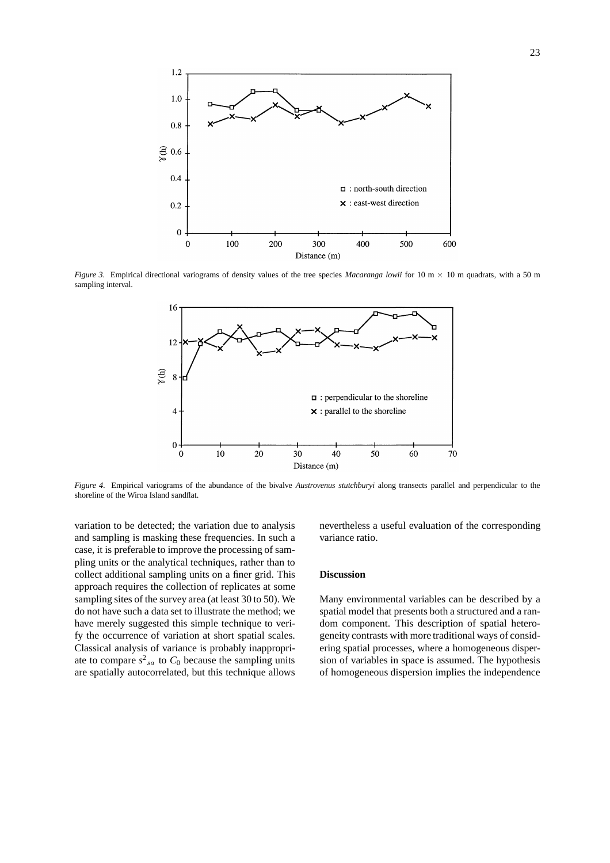

*Figure 3*. Empirical directional variograms of density values of the tree species *Macaranga lowii* for 10 m × 10 m quadrats, with a 50 m sampling interval.



*Figure 4*. Empirical variograms of the abundance of the bivalve *Austrovenus stutchburyi* along transects parallel and perpendicular to the shoreline of the Wiroa Island sandflat.

variation to be detected; the variation due to analysis and sampling is masking these frequencies. In such a case, it is preferable to improve the processing of sampling units or the analytical techniques, rather than to collect additional sampling units on a finer grid. This approach requires the collection of replicates at some sampling sites of the survey area (at least 30 to 50). We do not have such a data set to illustrate the method; we have merely suggested this simple technique to verify the occurrence of variation at short spatial scales. Classical analysis of variance is probably inappropriate to compare  $s<sup>2</sup>_{sa}$  to  $C_0$  because the sampling units are spatially autocorrelated, but this technique allows

nevertheless a useful evaluation of the corresponding variance ratio.

#### **Discussion**

Many environmental variables can be described by a spatial model that presents both a structured and a random component. This description of spatial heterogeneity contrasts with more traditional ways of considering spatial processes, where a homogeneous dispersion of variables in space is assumed. The hypothesis of homogeneous dispersion implies the independence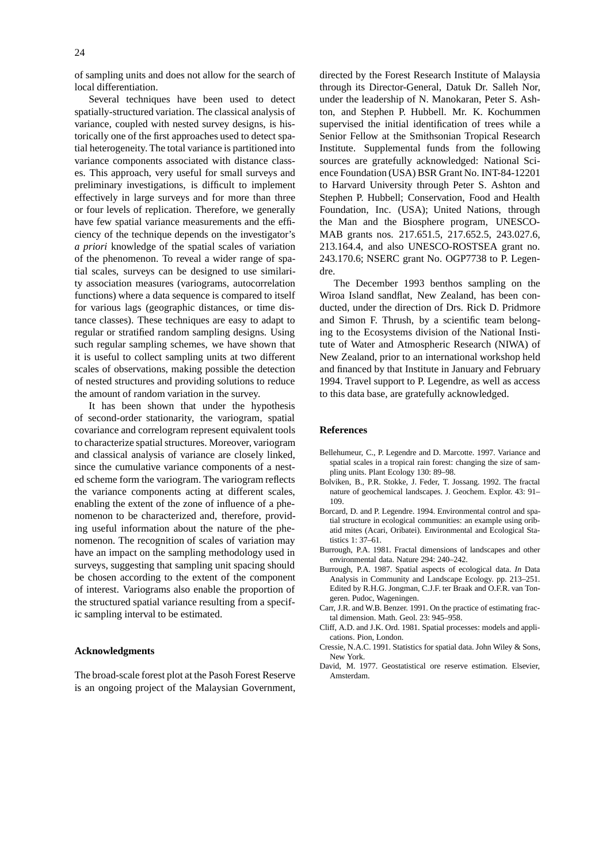of sampling units and does not allow for the search of local differentiation.

Several techniques have been used to detect spatially-structured variation. The classical analysis of variance, coupled with nested survey designs, is historically one of the first approaches used to detect spatial heterogeneity. The total variance is partitioned into variance components associated with distance classes. This approach, very useful for small surveys and preliminary investigations, is difficult to implement effectively in large surveys and for more than three or four levels of replication. Therefore, we generally have few spatial variance measurements and the efficiency of the technique depends on the investigator's *a priori* knowledge of the spatial scales of variation of the phenomenon. To reveal a wider range of spatial scales, surveys can be designed to use similarity association measures (variograms, autocorrelation functions) where a data sequence is compared to itself for various lags (geographic distances, or time distance classes). These techniques are easy to adapt to regular or stratified random sampling designs. Using such regular sampling schemes, we have shown that it is useful to collect sampling units at two different scales of observations, making possible the detection of nested structures and providing solutions to reduce the amount of random variation in the survey.

It has been shown that under the hypothesis of second-order stationarity, the variogram, spatial covariance and correlogram represent equivalent tools to characterize spatial structures. Moreover, variogram and classical analysis of variance are closely linked, since the cumulative variance components of a nested scheme form the variogram. The variogram reflects the variance components acting at different scales, enabling the extent of the zone of influence of a phenomenon to be characterized and, therefore, providing useful information about the nature of the phenomenon. The recognition of scales of variation may have an impact on the sampling methodology used in surveys, suggesting that sampling unit spacing should be chosen according to the extent of the component of interest. Variograms also enable the proportion of the structured spatial variance resulting from a specific sampling interval to be estimated.

#### **Acknowledgments**

The broad-scale forest plot at the Pasoh Forest Reserve is an ongoing project of the Malaysian Government, directed by the Forest Research Institute of Malaysia through its Director-General, Datuk Dr. Salleh Nor, under the leadership of N. Manokaran, Peter S. Ashton, and Stephen P. Hubbell. Mr. K. Kochummen supervised the initial identification of trees while a Senior Fellow at the Smithsonian Tropical Research Institute. Supplemental funds from the following sources are gratefully acknowledged: National Science Foundation (USA) BSR Grant No. INT-84-12201 to Harvard University through Peter S. Ashton and Stephen P. Hubbell; Conservation, Food and Health Foundation, Inc. (USA); United Nations, through the Man and the Biosphere program, UNESCO-MAB grants nos. 217.651.5, 217.652.5, 243.027.6, 213.164.4, and also UNESCO-ROSTSEA grant no. 243.170.6; NSERC grant No. OGP7738 to P. Legendre.

The December 1993 benthos sampling on the Wiroa Island sandflat, New Zealand, has been conducted, under the direction of Drs. Rick D. Pridmore and Simon F. Thrush, by a scientific team belonging to the Ecosystems division of the National Institute of Water and Atmospheric Research (NIWA) of New Zealand, prior to an international workshop held and financed by that Institute in January and February 1994. Travel support to P. Legendre, as well as access to this data base, are gratefully acknowledged.

#### **References**

- Bellehumeur, C., P. Legendre and D. Marcotte. 1997. Variance and spatial scales in a tropical rain forest: changing the size of sampling units. Plant Ecology 130: 89–98.
- Bolviken, B., P.R. Stokke, J. Feder, T. Jossang. 1992. The fractal nature of geochemical landscapes. J. Geochem. Explor. 43: 91– 109.
- Borcard, D. and P. Legendre. 1994. Environmental control and spatial structure in ecological communities: an example using oribatid mites (Acari, Oribatei). Environmental and Ecological Statistics 1: 37–61.
- Burrough, P.A. 1981. Fractal dimensions of landscapes and other environmental data. Nature 294: 240–242.
- Burrough, P.A. 1987. Spatial aspects of ecological data. *In* Data Analysis in Community and Landscape Ecology. pp. 213–251. Edited by R.H.G. Jongman, C.J.F. ter Braak and O.F.R. van Tongeren. Pudoc, Wageningen.
- Carr, J.R. and W.B. Benzer. 1991. On the practice of estimating fractal dimension. Math. Geol. 23: 945–958.
- Cliff, A.D. and J.K. Ord. 1981. Spatial processes: models and applications. Pion, London.
- Cressie, N.A.C. 1991. Statistics for spatial data. John Wiley & Sons, New York.
- David, M. 1977. Geostatistical ore reserve estimation. Elsevier, Amsterdam.